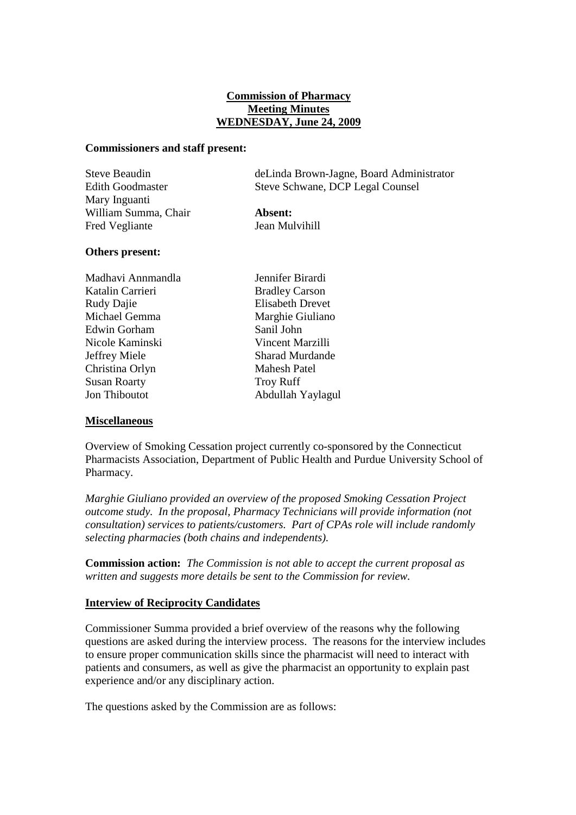# **Commission of Pharmacy Meeting Minutes WEDNESDAY, June 24, 2009**

#### **Commissioners and staff present:**

| Steve Beaudin           | deLinda Brown-Jagne, Board Administrator |
|-------------------------|------------------------------------------|
| <b>Edith Goodmaster</b> | Steve Schwane, DCP Legal Counsel         |
| Mary Inguanti           |                                          |
| William Summa, Chair    | Absent:                                  |
| Fred Vegliante          | Jean Mulvihill                           |

#### **Others present:**

Madhavi Annmandla Jennifer Birardi Katalin Carrieri Bradley Carson Rudy Dajie Elisabeth Drevet Michael Gemma Marghie Giuliano Edwin Gorham Sanil John Nicole Kaminski Vincent Marzilli Jeffrey Miele Sharad Murdande Christina Orlyn Mahesh Patel Susan Roarty Troy Ruff Jon Thiboutot Abdullah Yaylagul

#### **Miscellaneous**

Overview of Smoking Cessation project currently co-sponsored by the Connecticut Pharmacists Association, Department of Public Health and Purdue University School of Pharmacy.

*Marghie Giuliano provided an overview of the proposed Smoking Cessation Project outcome study. In the proposal, Pharmacy Technicians will provide information (not consultation) services to patients/customers. Part of CPAs role will include randomly selecting pharmacies (both chains and independents).* 

**Commission action:** *The Commission is not able to accept the current proposal as written and suggests more details be sent to the Commission for review.*

# **Interview of Reciprocity Candidates**

Commissioner Summa provided a brief overview of the reasons why the following questions are asked during the interview process. The reasons for the interview includes to ensure proper communication skills since the pharmacist will need to interact with patients and consumers, as well as give the pharmacist an opportunity to explain past experience and/or any disciplinary action.

The questions asked by the Commission are as follows: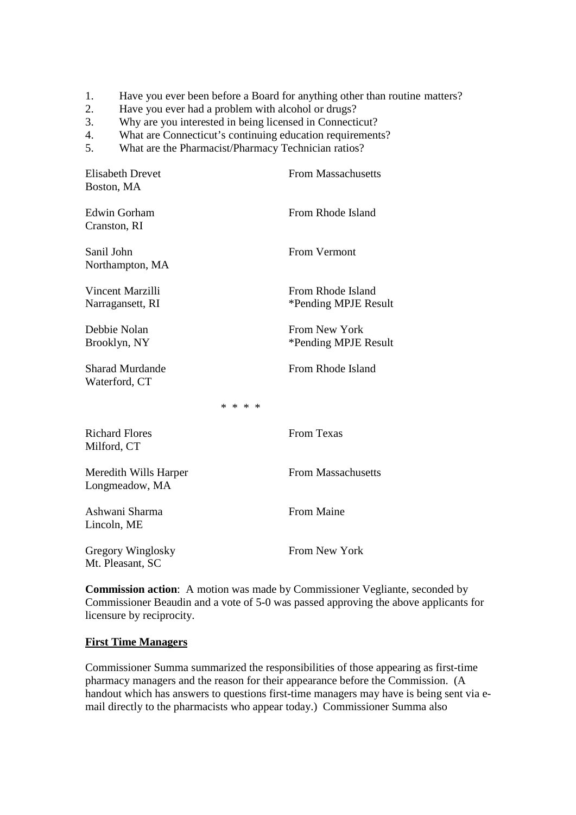- 1. Have you ever been before a Board for anything other than routine matters?
- 2. Have you ever had a problem with alcohol or drugs?
- 3. Why are you interested in being licensed in Connecticut?
- 4. What are Connecticut's continuing education requirements?
- 5. What are the Pharmacist/Pharmacy Technician ratios?

| <b>Elisabeth Drevet</b><br>Boston, MA   |         | <b>From Massachusetts</b>                 |
|-----------------------------------------|---------|-------------------------------------------|
| <b>Edwin Gorham</b><br>Cranston, RI     |         | From Rhode Island                         |
| Sanil John<br>Northampton, MA           |         | From Vermont                              |
| Vincent Marzilli<br>Narragansett, RI    |         | From Rhode Island<br>*Pending MPJE Result |
| Debbie Nolan<br>Brooklyn, NY            |         | From New York<br>*Pending MPJE Result     |
| <b>Sharad Murdande</b><br>Waterford, CT |         | From Rhode Island                         |
|                                         | * * * * |                                           |
| <b>Richard Flores</b><br>Milford, CT    |         | <b>From Texas</b>                         |
| Meredith Wills Harper<br>Longmeadow, MA |         | <b>From Massachusetts</b>                 |
| Ashwani Sharma<br>Lincoln, ME           |         | <b>From Maine</b>                         |
| Gregory Winglosky<br>Mt. Pleasant, SC   |         | <b>From New York</b>                      |

**Commission action**: A motion was made by Commissioner Vegliante, seconded by Commissioner Beaudin and a vote of 5-0 was passed approving the above applicants for licensure by reciprocity.

#### **First Time Managers**

Commissioner Summa summarized the responsibilities of those appearing as first-time pharmacy managers and the reason for their appearance before the Commission. (A handout which has answers to questions first-time managers may have is being sent via email directly to the pharmacists who appear today.) Commissioner Summa also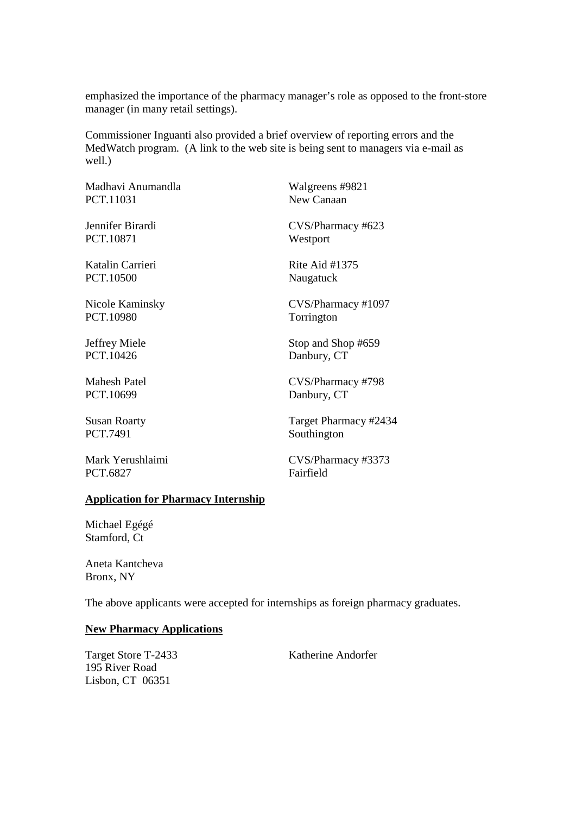emphasized the importance of the pharmacy manager's role as opposed to the front-store manager (in many retail settings).

Commissioner Inguanti also provided a brief overview of reporting errors and the MedWatch program. (A link to the web site is being sent to managers via e-mail as well.)

Madhavi Anumandla Walgreens #9821 PCT.11031 New Canaan

PCT.10871 Westport

PCT.10500 Naugatuck

PCT.10980 Torrington

PCT.10699 Danbury, CT

PCT.7491 Southington

PCT.6827 Fairfield

Jennifer Birardi CVS/Pharmacy #623

Katalin Carrieri Rite Aid #1375

Nicole Kaminsky CVS/Pharmacy #1097

Jeffrey Miele Stop and Shop #659 PCT.10426 Danbury, CT

Mahesh Patel CVS/Pharmacy #798

Susan Roarty Target Pharmacy #2434

Mark Yerushlaimi CVS/Pharmacy #3373

# **Application for Pharmacy Internship**

Michael Egégé Stamford, Ct

Aneta Kantcheva Bronx, NY

The above applicants were accepted for internships as foreign pharmacy graduates.

#### **New Pharmacy Applications**

Target Store T-2433 Katherine Andorfer 195 River Road Lisbon, CT 06351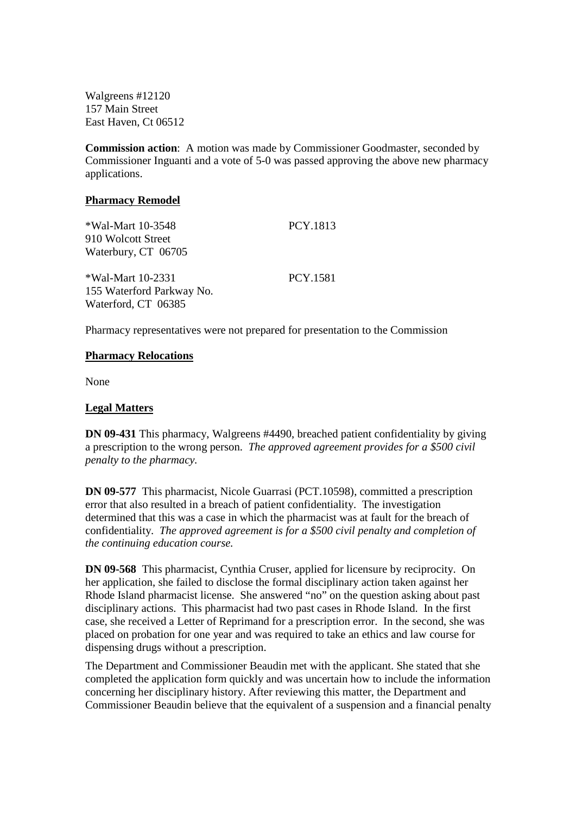Walgreens #12120 157 Main Street East Haven, Ct 06512

**Commission action**: A motion was made by Commissioner Goodmaster, seconded by Commissioner Inguanti and a vote of 5-0 was passed approving the above new pharmacy applications.

#### **Pharmacy Remodel**

| *Wal-Mart 10-3548<br>910 Wolcott Street | PCY.1813 |
|-----------------------------------------|----------|
| Waterbury, CT 06705                     |          |
| *Wal-Mart 10-2331                       | PCY.1581 |
| 155 Waterford Parkway No.               |          |
| Waterford, CT 06385                     |          |

Pharmacy representatives were not prepared for presentation to the Commission

# **Pharmacy Relocations**

None

# **Legal Matters**

**DN 09-431** This pharmacy, Walgreens #4490, breached patient confidentiality by giving a prescription to the wrong person. *The approved agreement provides for a \$500 civil penalty to the pharmacy.*

**DN 09-577** This pharmacist, Nicole Guarrasi (PCT.10598), committed a prescription error that also resulted in a breach of patient confidentiality. The investigation determined that this was a case in which the pharmacist was at fault for the breach of confidentiality. *The approved agreement is for a \$500 civil penalty and completion of the continuing education course.*

**DN 09-568** This pharmacist, Cynthia Cruser, applied for licensure by reciprocity. On her application, she failed to disclose the formal disciplinary action taken against her Rhode Island pharmacist license. She answered "no" on the question asking about past disciplinary actions. This pharmacist had two past cases in Rhode Island. In the first case, she received a Letter of Reprimand for a prescription error. In the second, she was placed on probation for one year and was required to take an ethics and law course for dispensing drugs without a prescription.

The Department and Commissioner Beaudin met with the applicant. She stated that she completed the application form quickly and was uncertain how to include the information concerning her disciplinary history. After reviewing this matter, the Department and Commissioner Beaudin believe that the equivalent of a suspension and a financial penalty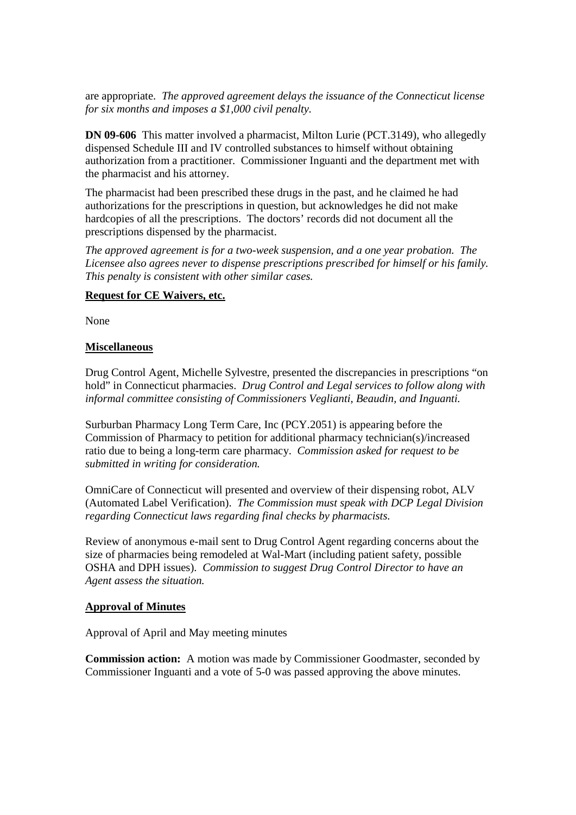are appropriate. *The approved agreement delays the issuance of the Connecticut license for six months and imposes a \$1,000 civil penalty.*

**DN 09-606** This matter involved a pharmacist, Milton Lurie (PCT.3149), who allegedly dispensed Schedule III and IV controlled substances to himself without obtaining authorization from a practitioner. Commissioner Inguanti and the department met with the pharmacist and his attorney.

The pharmacist had been prescribed these drugs in the past, and he claimed he had authorizations for the prescriptions in question, but acknowledges he did not make hardcopies of all the prescriptions. The doctors' records did not document all the prescriptions dispensed by the pharmacist.

*The approved agreement is for a two-week suspension, and a one year probation. The Licensee also agrees never to dispense prescriptions prescribed for himself or his family. This penalty is consistent with other similar cases.* 

# **Request for CE Waivers, etc.**

None

# **Miscellaneous**

Drug Control Agent, Michelle Sylvestre, presented the discrepancies in prescriptions "on hold" in Connecticut pharmacies. *Drug Control and Legal services to follow along with informal committee consisting of Commissioners Veglianti, Beaudin, and Inguanti.*

Surburban Pharmacy Long Term Care, Inc (PCY.2051) is appearing before the Commission of Pharmacy to petition for additional pharmacy technician(s)/increased ratio due to being a long-term care pharmacy. *Commission asked for request to be submitted in writing for consideration.*

OmniCare of Connecticut will presented and overview of their dispensing robot, ALV (Automated Label Verification). *The Commission must speak with DCP Legal Division regarding Connecticut laws regarding final checks by pharmacists.*

Review of anonymous e-mail sent to Drug Control Agent regarding concerns about the size of pharmacies being remodeled at Wal-Mart (including patient safety, possible OSHA and DPH issues). *Commission to suggest Drug Control Director to have an Agent assess the situation.*

#### **Approval of Minutes**

Approval of April and May meeting minutes

**Commission action:** A motion was made by Commissioner Goodmaster, seconded by Commissioner Inguanti and a vote of 5-0 was passed approving the above minutes.